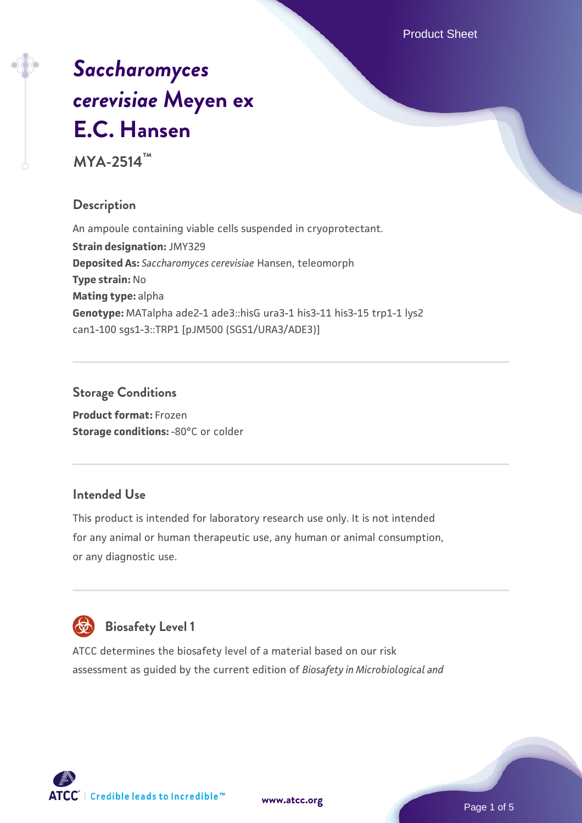# *[Saccharomyces](https://www.atcc.org/products/mya-2514) [cerevisiae](https://www.atcc.org/products/mya-2514)* **[Meyen ex](https://www.atcc.org/products/mya-2514) [E.C. Hansen](https://www.atcc.org/products/mya-2514)**

**MYA-2514™**

# **Description**

An ampoule containing viable cells suspended in cryoprotectant. **Strain designation:** JMY329 **Deposited As:** *Saccharomyces cerevisiae* Hansen, teleomorph **Type strain:** No **Mating type:** alpha **Genotype:** MATalpha ade2-1 ade3::hisG ura3-1 his3-11 his3-15 trp1-1 lys2 can1-100 sgs1-3::TRP1 [pJM500 (SGS1/URA3/ADE3)]

# **Storage Conditions**

**Product format:** Frozen **Storage conditions: -80°C or colder** 

# **Intended Use**

This product is intended for laboratory research use only. It is not intended for any animal or human therapeutic use, any human or animal consumption, or any diagnostic use.



# **Biosafety Level 1**

ATCC determines the biosafety level of a material based on our risk assessment as guided by the current edition of *Biosafety in Microbiological and*

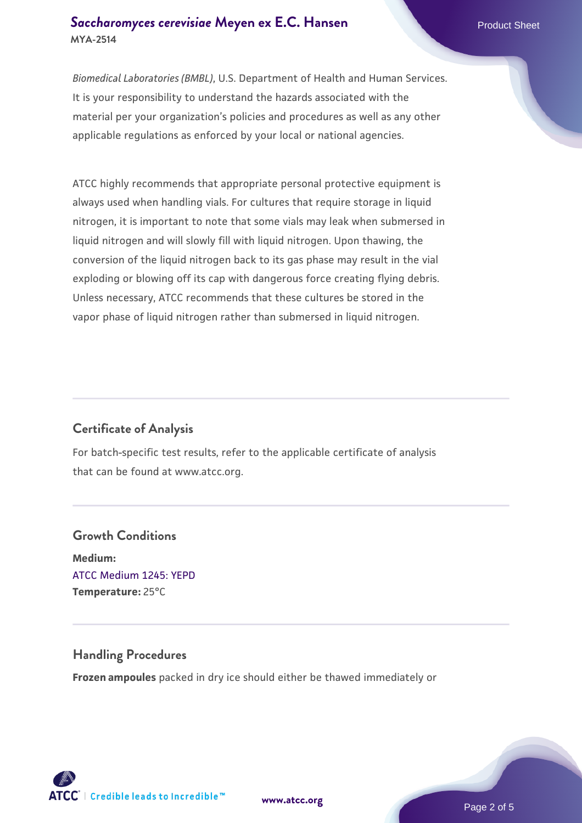#### **[Saccharomyces cerevisiae](https://www.atcc.org/products/mya-2514)** [Meyen ex E.C. Hansen](https://www.atcc.org/products/mya-2514) **MYA-2514**

*Biomedical Laboratories (BMBL)*, U.S. Department of Health and Human Services. It is your responsibility to understand the hazards associated with the material per your organization's policies and procedures as well as any other applicable regulations as enforced by your local or national agencies.

ATCC highly recommends that appropriate personal protective equipment is always used when handling vials. For cultures that require storage in liquid nitrogen, it is important to note that some vials may leak when submersed in liquid nitrogen and will slowly fill with liquid nitrogen. Upon thawing, the conversion of the liquid nitrogen back to its gas phase may result in the vial exploding or blowing off its cap with dangerous force creating flying debris. Unless necessary, ATCC recommends that these cultures be stored in the vapor phase of liquid nitrogen rather than submersed in liquid nitrogen.

# **Certificate of Analysis**

For batch-specific test results, refer to the applicable certificate of analysis that can be found at www.atcc.org.

# **Growth Conditions Medium:**  [ATCC Medium 1245: YEPD](https://www.atcc.org/-/media/product-assets/documents/microbial-media-formulations/1/2/4/5/atcc-medium-1245.pdf?rev=705ca55d1b6f490a808a965d5c072196) **Temperature:** 25°C

# **Handling Procedures**

**Frozen ampoules** packed in dry ice should either be thawed immediately or

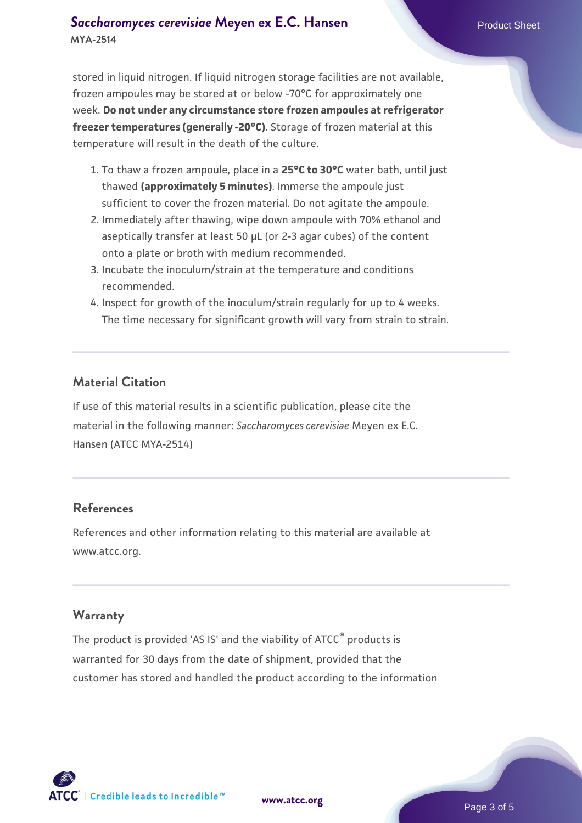### **[Saccharomyces cerevisiae](https://www.atcc.org/products/mya-2514)** [Meyen ex E.C. Hansen](https://www.atcc.org/products/mya-2514) **MYA-2514**

stored in liquid nitrogen. If liquid nitrogen storage facilities are not available, frozen ampoules may be stored at or below -70°C for approximately one week. **Do not under any circumstance store frozen ampoules at refrigerator freezer temperatures (generally -20°C)**. Storage of frozen material at this temperature will result in the death of the culture.

- 1. To thaw a frozen ampoule, place in a **25°C to 30°C** water bath, until just thawed **(approximately 5 minutes)**. Immerse the ampoule just sufficient to cover the frozen material. Do not agitate the ampoule.
- 2. Immediately after thawing, wipe down ampoule with 70% ethanol and aseptically transfer at least 50 µL (or 2-3 agar cubes) of the content onto a plate or broth with medium recommended.
- 3. Incubate the inoculum/strain at the temperature and conditions recommended.
- 4. Inspect for growth of the inoculum/strain regularly for up to 4 weeks. The time necessary for significant growth will vary from strain to strain.

#### **Material Citation**

If use of this material results in a scientific publication, please cite the material in the following manner: *Saccharomyces cerevisiae* Meyen ex E.C. Hansen (ATCC MYA-2514)

#### **References**

References and other information relating to this material are available at www.atcc.org.

#### **Warranty**

The product is provided 'AS IS' and the viability of ATCC® products is warranted for 30 days from the date of shipment, provided that the customer has stored and handled the product according to the information

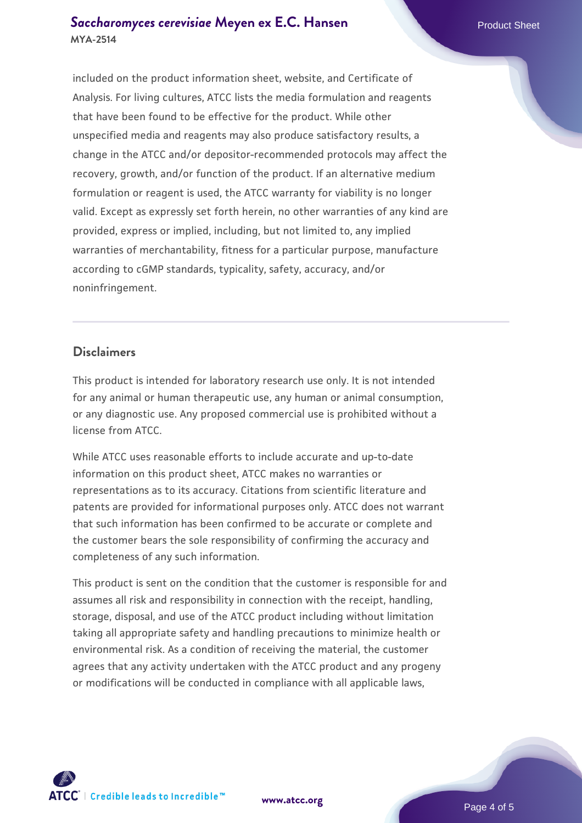### **[Saccharomyces cerevisiae](https://www.atcc.org/products/mya-2514)** [Meyen ex E.C. Hansen](https://www.atcc.org/products/mya-2514) **MYA-2514**

included on the product information sheet, website, and Certificate of Analysis. For living cultures, ATCC lists the media formulation and reagents that have been found to be effective for the product. While other unspecified media and reagents may also produce satisfactory results, a change in the ATCC and/or depositor-recommended protocols may affect the recovery, growth, and/or function of the product. If an alternative medium formulation or reagent is used, the ATCC warranty for viability is no longer valid. Except as expressly set forth herein, no other warranties of any kind are provided, express or implied, including, but not limited to, any implied warranties of merchantability, fitness for a particular purpose, manufacture according to cGMP standards, typicality, safety, accuracy, and/or noninfringement.

#### **Disclaimers**

This product is intended for laboratory research use only. It is not intended for any animal or human therapeutic use, any human or animal consumption, or any diagnostic use. Any proposed commercial use is prohibited without a license from ATCC.

While ATCC uses reasonable efforts to include accurate and up-to-date information on this product sheet, ATCC makes no warranties or representations as to its accuracy. Citations from scientific literature and patents are provided for informational purposes only. ATCC does not warrant that such information has been confirmed to be accurate or complete and the customer bears the sole responsibility of confirming the accuracy and completeness of any such information.

This product is sent on the condition that the customer is responsible for and assumes all risk and responsibility in connection with the receipt, handling, storage, disposal, and use of the ATCC product including without limitation taking all appropriate safety and handling precautions to minimize health or environmental risk. As a condition of receiving the material, the customer agrees that any activity undertaken with the ATCC product and any progeny or modifications will be conducted in compliance with all applicable laws,



**[www.atcc.org](http://www.atcc.org)**

Page 4 of 5